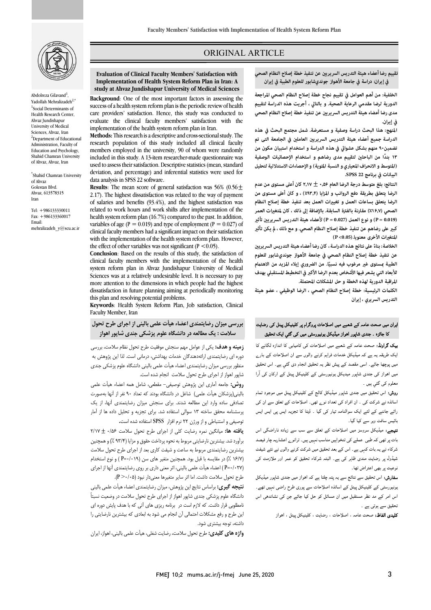

Abdolreza Gilavand $^1$ , Yadollah Mehralizadeh<sup>2,\*</sup> 1 Social Determinants of Health Research Center, Ahvaz Jundishapur University of Medical Sciences, Ahvaz, Iran <sup>2</sup>Department of Educational Administration, Faculty of Education and Psychology, Shahid Chamran University of Ahvaz, Ahvaz, Iran

\* Shahid Chamran University of Ahvaz Golestan Blvd. Ahvaz, 613578315 Iran

Tel: +986133330011 Fax: +986133360017 Email: mehralizadeh\_y@scu.ac.ir

## ORIGINAL ARTICLE

 **تقييم رضا أعضاء هيئة التدريس السريري عن تنفيذ خطة إصلاح النظام الصحي في إيران: دراسة في جامعة الأهواز جونديشابور للعلوم الطبية في إيران**

ص

 **الخلفية: من أهم العوامل في تقييم نجاح خطة إصلاح النظام الصحي المراجعة Sciences Medical of University Jundishapur Ahvaz at study مدى رضا أعضاء هيئة التدريس السريري عن تنفيذ خطة إصلاح النظام الصحي الدورية لرضا مقدمي الرعاية الصحية. و بالتالي ، أجريت هذه الدراسة لتقييم في إيران.** 

> **المنهج: هذا البحث دراسة وصفية و مستعرضة. شمل مجتمع البحث في هذه**  الدراسة جميع أعضاء هيئة التدريس السريريين العاملين في الجامعة التى تم **تضمین۹۰ منهم بشكل عشوا في هذه الدراسة و استخدام استبيان مكون من (المتوسط و الانحراف المعياري و النسبة المئوية) و الإحصاءات الاستدلالية لتحليل البيانات في برنامج 22 SPSS. ۱۳ ً بندا من الباحث لتقييم مدى رضاهم و استخدام الإحصائيات الوصفية**

> **النتائج: بلغ متوسط درجة الرضا العام۰٫۵۶** ± **۲٫۱۷ کان أعلى مستوى من عدم الرضا يتعلق بطريقة دفع الرواتب و المزايا (٪۹۳٫۴) ، و كان أعلى مستوى من الرضا يتعلق بساعات العمل و تغيات العمل بعد تنفيذ خطة إصلاح النظام**  الصحي (**٪۱۶٫۷) مقارنة بالفترة السابقة. بالإضافة** إلى ذلك ، كان لمتغيرات العمر **كب على رضاهم عن تنفيذ خطة إصلاح النظام الصحي. و مع ذلك ، يكن تأث المتغات الأخرى معنويا.(0.05> P ( (0.019 = P (و نوع العمل (0.027 = P (لأعضاء هيئة التدريس السريري تأث**

> الخلاصة: بناءً على نتائج هذه الدراسة ، كان رضا أعضاء هيئة التدريس السريريين **عن تنفيذ خطة إصلاح النظام الصحي في جامعة الأهواز جونديشابور للعلوم**  الطبية <sub>ت</sub>مستوى غير مرغوب فيه نسبيًا. من الضروري إيلاء المزيد من الاهتمام **للأبعاد التي يشعر فيها الأشخاص بعدم الرضا الأكبر في التخطيط المستقبلي بهدف المراقبة الدورية لهذه الخطة و حل المشكلات المحتملة.**

> **الكلت الرئيسية: خطة إصلاح النظام الصحي ، الرضا الوظيفي ، عضو هيئة التدريس السريري ، إيران**

# یران میں صحت عامہ کے شعبے میں اصلاحات پروگرام پر کلینیکل پینل کی رضایت<br>۔ کا جائزہ ۔ جندی شاپور اہواز میڈیکل یونیورسٹی میں کی گئي ایک تحقیق<br>۔

**یک گراونڈ:** صحت عامہ کے شعبے میں اصلاحات کی کامیابی کا اندازہ لگانے کا یت سریتہ ہیں ہے جہ مینیتی ہیں جب سریہ ہوتے وہیں سے ان احتراف سے جارے<br>میں پوچھا جائے۔ اسی مقصد کے پیش نظر یہ تحقیق انجام دی گئي ہے۔ اس تحقیق ااز ی ر ر ارن آرا ایک طریقہ یہ ہے کہ میڈیکل خدمات فراہم کرنے والوں سے ان اصلاحات کے بار ے معلوم کی گئی ہیں ۔

ر**وش:** اس تحقیق میں جندی شاپور میڈیکل کالج کے کلینیکل پینل میں موجود تمام اساتذہ نے شرکت کی ۔ ان افراد کی تعداد نوے تھی۔ اصلاحات کے تعلق سے ان کی رائے جاننے کے لئے ایک سوالنامہ تیار کی گیا ۔ ڈیٹا کا تجزیہ ایس پی ایس ایس بائیس سافٹ ویر سے کیا گیا۔

**تیجے:** میڈیکل سروسز میں اصلاحات کے تعلق سے سب سے زیادہ ناراضگی اس بات پر تھی کہ طبی عملے کی تنخواہیں مناسب نہیں ہیں۔ ترانو<sub>ے</sub> اعشاریہ چار فیصد<br>. سرے کے یہ بات سہی ہے۔ اس سے بعد سعیں میں سرسے مرتبے راس سے سے سیسہ<br>شیڈول پر رضایت مندی ظاہر کی ہے۔ البتہ شرکاء تحقیق کو عمر اور ملازمت کی ۔<br>نوعیت پر بھی اعتراض تھا۔ شرکاء نے یہ بات کہی ہے۔ اس کے بعد تحقیق میں شرکت کرنے والوں نے نئے شیفٹ

**سفارش:** اس تحقیق سے نتائج سے یہ پتہ چلتا ہے کہ اہواز میں جندی شاپور میڈیکل ۔<br>بونیورسٹی کے کلینیکل پینل کے اساتذہ اصلاحات سے پوری طرح راضی نہیں تھے۔ اس امر کے مد نظر مستقبل میں ان مسائل کو حل کیا جائے جن کی نشاندھی اس نحقیق سے ہوتی ہے ۔

**کلیدی الفاظ:** صحت عامہ ، اصلاحات ، رضایت ، کلینیکل پینل ، اهواز

 **Evaluation of Clinical Faculty Members' Satisfaction with**  study at Ahvaz Jundishapur University of Medical Sciences **Implementation of Health System Reform Plan in Iran: A** 

Ī

 **Background**: One of the most important factors in assessing the success of a health system reform plan is the periodic review of health evaluate the clinical faculty members' satisfaction with the implementation of the health system reform plan in Iran. care providers' satisfaction. Hence, this study was conducted to

research population of this study included all clinical faculty members employed in the university, 90 of whom were randomly included in this study. A 13-item researcher-made questionnaire was deviation, and percentage) and inferential statistics were used for **Methods:** This research is a descriptive and cross-sectional study. The used to assess their satisfaction. Descriptive statistics (mean, standard data analysis in SPSS 22 software.

 **Results**: The mean score of general satisfaction was 56% (0.56± 2.17). The highest dissatisfaction was related to the way of payment of salaries and benefits (93.4%), and the highest satisfaction was health system reform plan (16.7%) compared to the past. In addition, variables of age ( $P = 0.019$ ) and type of employment ( $P = 0.027$ ) of clinical faculty members had a significant impact on their satisfaction the effect of other variables was not significant ( $P < 0.05$ ). related to work hours and work shifts after implementation of the with the implementation of the health system reform plan. However,

 **Conclusion**: Based on the results of this study, the satisfaction of system reform plan in Ahvaz Jundishapur University of Medical Sciences was at a relatively undesirable level. It is necessary to pay more attention to the dimensions in which people had the highest clinical faculty members with the implementation of the health dissatisfaction in future planning aiming at periodically monitoring this plan and resolving potential problems.

 **Keywords**: Health System Reform Plan, Job satisfaction, Clinical Faculty Member, Iran

# **بررسی میزان رضایتمندي اعضاء هیأت علمی بالینی از اجراي طرح تحول سلامت : یک مطالعه در دانشگاه علوم پزشکی جندي شاپور اهواز**

 **زمینه و هدف:** یکی از عوامل مهم سنجش موفقیت طرح تحول نظام سلامت، بررسی دوره اي رضایتمندي ارائهدهندگان خدمات بهداشتی، درمانی است. لذا این پژوهش به سطور بزرسی میزان راسایست.<br>شاپور اهواز از اجرای طرح تحول سلامت انجام شده است. منظور بررسی میزان رضایتمندي اعضاء هیأت علمی بالینی دانشگاه علوم پزشکی جندي

 **روش:** جامعه آماري این پژوهش توصیفی- مقطعی، شامل همه اعضاء هیأت علمی بالینی(پزشکان هیأت علمی) شاغل در دانشگاه بودند که تعداد 90 نفر از آنها بهصورت تصادفی ساده وارد این مطالعه شدند. براي سنجش میزان رضایتمندي آنها، از یک پرسشنامه محقق ساخته 13 سوالی استفاده شد. براي تجزیه و تحلیل داده ها از آمار توصیفی و استنباطی و از ورژن 22 نرم افزار SPSS استفاده شده است**.**

 **یافته ها:** میانگین نمره رضایت کلی از اجراي طرح تحول سلامت 0/56 ± 2/17 برآورد شد. بیشترین نارضایتی مربوط به نحوه پرداخت حقوق و مزایا (93/4 %) و همچنین بیشترین رضایتمندي مربوط به ساعت و شیفت کاري بعد از اجراي طرح تحول سلامت<br>مستقدین , روس است از سال به این سال معنی از است از معنی داري بر روي رضايتمندي آنها از اجراي<br>(P=۰/۰۲۷ ) اعضاء هیأت علمی بالینی، اثر معنی داری بر روی رضایتمندی آنها از اجرای طرح تحول سلامت داشت. اما اثر سایر متغیرها معنیدار نبود (0/05< P(. (16/7 %) در مقایسه با قبل بود. همچنین متغیر هاي سن (0/019=P ( و نوع استخدام

 **نتیجه گیري:** براساس نتایج این پژوهش، میزان رضایتمندي اعضاء هیأت علمی بالینی دانشگاه علوم پزشکی جندي شاپور اهواز از اجراي طرح تحول سلامت در وضعیت نسبتاً نامطلوبی قرار داشت. که لازم است در برنامه ریزي هاي آتی که با هدف پایش دوره اي این طرح و رفع مشکلات احتمالی آن انجام می شود به ابعادي که بیشترین نارضایتی را داشته، توجه بیشتري شود.

**واژه هاي کلیدي:** طرح تحول سلامت، رضایت شغلی، هیأت علمی بالینی، اهواز، ایران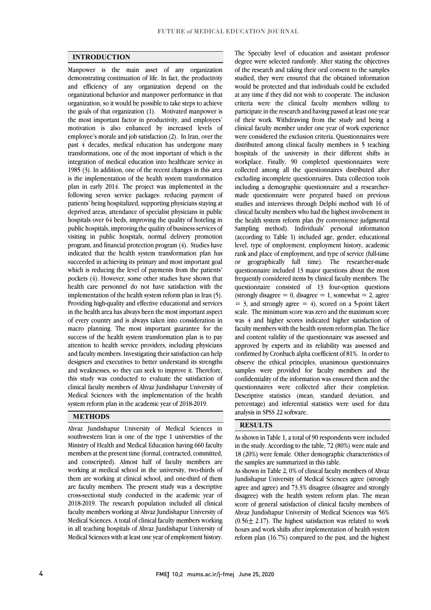### **INTRODUCTION**

 Manpower is the main asset of any organization demonstrating continuation of life. In fact, the productivity and efficiency of any organization depend on the organizational behavior and manpower performance in that the goals of that organization (1). Motivated manpower is the most important factor in productivity, and employees' motivation is also enhanced by increased levels of employee's morale and job satisfaction (2). In Iran, over the transformations, one of the most important of which is the integration of medical education into healthcare service in 1985 (3). In addition, one of the recent changes in this area is the implementation of the health system transformation following seven service packages: reducing payment of patients' being hospitalized, supporting physicians staying at deprived areas, attendance of specialist physicians in public public hospitals, improving the quality of business services of visiting in public hospitals, normal delivery promotion program, and financial protection program (4). Studies have indicated that the health system transformation plan has succeeded in achieving its primary and most important goal pockets (4). However, some other studies have shown that health care personnel do not have satisfaction with the implementation of the health system reform plan in Iran (5). Providing high-quality and effective educational and services of every country and is always taken into consideration in macro planning. The most important guarantee for the success of the health system transformation plan is to pay and faculty members. Investigating their satisfaction can help designers and executives to better understand its strengths and weaknesses, so they can seek to improve it. Therefore, this study was conducted to evaluate the satisfaction of Medical Sciences with the implementation of the health organization, so it would be possible to take steps to achieve past 4 decades, medical education has undergone many plan in early 2014. The project was implemented in the hospitals over 64 beds, improving the quality of hoteling in which is reducing the level of payments from the patients' in the health area has always been the most important aspect attention to health service providers, including physicians clinical faculty members of Ahvaz Jundishapur University of system reform plan in the academic year of 2018-2019.

## **METHODS**

 $\overline{a}$ southwestern Iran is one of the type 1 universities of the Ministry of Health and Medical Education having 660 faculty members at the present time (formal, contracted, committed, and conscripted). Almost half of faculty members are them are working at clinical school, and one-third of them are faculty members. The present study was a descriptive cross-sectional study conducted in the academic year of 2018-2019. The research population included all clinical Medical Sciences. A total of clinical faculty members working in all teaching hospitals of Ahvaz Jundishapur University of Medical Sciences with at least one year of employment history. Ahvaz Jundishapur University of Medical Sciences in working at medical school in the university, two-thirds of faculty members working at Ahvaz Jundishapur University of

 The Specialty level of education and assistant professor of the research and taking their oral consent to the samples studied, they were ensured that the obtained information would be protected and that individuals could be excluded criteria were the clinical faculty members willing to of their work. Withdrawing from the study and being a clinical faculty member under one year of work experience were considered the exclusion criteria. Questionnaires were distributed among clinical faculty members in 5 teaching workplace. Finally, 90 completed questionnaires were collected among all the questionnaires distributed after excluding incomplete questionnaires. Data collection tools including a demographic questionnaire and a researcher- studies and interviews through Delphi method with 16 of clinical faculty members who had the highest involvement in the health system reform plan (by convenience judgmental Sampling method). Individuals' personal information level, type of employment, employment history, academic rank and place of employment, and type of service (full-time or geographically full time). The researcher-made frequently considered items by clinical faculty members. The questionnaire consisted of 13 four-option questions (strongly disagree  $= 0$ , disagree  $= 1$ , somewhat  $= 2$ , agree  $= 3$ , and strongly agree  $= 4$ ), scored on a 5-point Likert scale. The minimum score was zero and the maximum score faculty members with the health system reform plan. The face and content validity of the questionnaire was assessed and approved by experts and its reliability was assessed and observe the ethical principles, unanimous questionnaires samples were provided for faculty members and the confidentiality of the information was ensured them and the questionnaires were collected after their completion. Descriptive statistics (mean, standard deviation, and degree were selected randomly. After stating the objectives at any time if they did not wish to cooperate. The inclusion participate in the research and having passed at least one year hospitals of the university in their different shifts in made questionnaire were prepared based on previous (according to Table 1) included age, gender, educational questionnaire included 13 major questions about the most was 4 and higher scores indicated higher satisfaction of confirmed by Cronbach alpha coefficient of 81%. In order to percentage) and inferential statistics were used for data analysis in SPSS 22 software.

## **RESULTS**

j

 in the study. According to the table, 72 (80%) were male and 18 (20%) were female. Other demographic characteristics of As shown in Table 1, a total of 90 respondents were included the samples are summarized in this table.

í j

 As shown in Table 2, 0% of clinical faculty members of Ahvaz agree and agree) and 73.3% disagree (disagree and strongly disagree) with the health system reform plan. The mean score of general satisfaction of clinical faculty members of Ahvaz Jundishapur University of Medical Sciences was 56%  $(0.50 \pm 2.17)$ . The highest sausiaction was related to work<br>hours and work shifts after implementation of health system reform plan (16.7%) compared to the past, and the highest Jundishapur University of Medical Sciences agree (strongly  $(0.56 \pm 2.17)$ . The highest satisfaction was related to work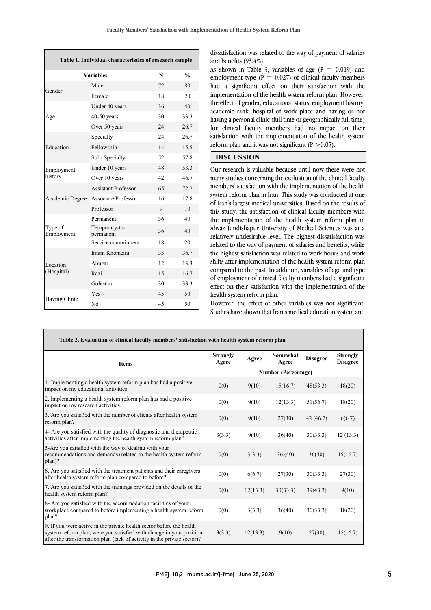| Table 1. Individual characteristics of research sample |                            |               |      |  |  |
|--------------------------------------------------------|----------------------------|---------------|------|--|--|
| <b>Variables</b>                                       | N                          | $\frac{0}{0}$ |      |  |  |
| Gender                                                 | Male                       | 72            | 80   |  |  |
|                                                        | Female                     | 18            | 20   |  |  |
| Age                                                    | Under 40 years             | 36            | 40   |  |  |
|                                                        | $40-50$ years              | 30            | 33.3 |  |  |
|                                                        | Over 50 years              | 24            | 26.7 |  |  |
| Education                                              | Specialty                  | 24            | 26.7 |  |  |
|                                                        | Fellowship                 | 14            | 15.5 |  |  |
|                                                        | Sub-Specialty              | 52            | 57.8 |  |  |
| Employment                                             | Under 10 years             | 48            | 53.3 |  |  |
| history                                                | Over 10 years              | 42            | 46.7 |  |  |
|                                                        | <b>Assistant Professor</b> | 65            | 72.2 |  |  |
| Academic Degree                                        | Associate Professor        | 16            | 17.8 |  |  |
|                                                        | Professor                  | 9             | 10   |  |  |
|                                                        | Permanent                  | 36            | 40   |  |  |
| Type of<br>Employment                                  | Temporary-to-<br>permanent | 36            | 40   |  |  |
|                                                        | Service commitment         | 18            | 20   |  |  |
|                                                        | Imam Khomeini              | 33            | 36.7 |  |  |
| Location<br>(Hospital)                                 | Abuzar                     | 12            | 13.3 |  |  |
|                                                        | Razi                       | 15            | 16.7 |  |  |
|                                                        | Golestan                   | 30            | 33.3 |  |  |
|                                                        | Yes                        | 45            | 50   |  |  |
| Having Clinic                                          | N <sub>0</sub>             | 45            | 50   |  |  |

dissatisfaction was related to the way of payment of salaries and benefits (93.4%).

As shown in Table 3, variables of age  $(P = 0.019)$  and employment type ( $P = 0.027$ ) of clinical faculty members had a significant effect on their satisfaction with the Implementation of the health system ferorm plan. However, the effect of gender, educational status, employment history, academic rank, hospital of work place and having or not having a personal clinic (full time or geographically full time) for clinical faculty members had no impact on their satisfaction with the implementation of the health system l implementation of the health system reform plan. However, reform plan and it was not significant ( $P > 0.05$ ).

 $\overline{a}$ 

l.

## **DISCUSSION**

 Our research is valuable because until now there were not many studies concerning the evaluation of the einheal factily<br>members' satisfaction with the implementation of the health system reform plan in Iran. This study was conducted at one of Iran's largest medical universities. Based on the results of this study, the satisfaction of clinical faculty members with Ahvaz Jundishapur University of Medical Sciences was at a relatively undesirable level. The highest dissatisfaction was related to the way of payment of salaries and benefits, while the highest satisfaction was related to work hours and work shifts after implementation of the health system reform plan of employment of clinical faculty members had a significant effect on their satisfaction with the implementation of the many studies concerning the evaluation of the clinical faculty the implementation of the health system reform plan in compared to the past. In addition, variables of age and type health system reform plan.

 Studies have shown that Iran's medical education system and However, the effect of other variables was not significant.

| Table 2. Evaluation of clinical faculty members' satisfaction with health system reform plan                                                                                                                           |                            |          |                   |                 |                                    |  |
|------------------------------------------------------------------------------------------------------------------------------------------------------------------------------------------------------------------------|----------------------------|----------|-------------------|-----------------|------------------------------------|--|
| <b>Items</b>                                                                                                                                                                                                           | <b>Strongly</b><br>Agree   | Agree    | Somewhat<br>Agree | <b>Disagree</b> | <b>Strongly</b><br><b>Disagree</b> |  |
|                                                                                                                                                                                                                        | <b>Number (Percentage)</b> |          |                   |                 |                                    |  |
| 1- Implementing a health system reform plan has had a positive<br>impact on my educational activities.                                                                                                                 | 0(0)                       | 9(10)    | 15(16.7)          | 48(53.3)        | 18(20)                             |  |
| 2. Implementing a health system reform plan has had a positive<br>impact on my research activities.                                                                                                                    | 0(0)                       | 9(10)    | 12(13.3)          | 51(56.7)        | 18(20)                             |  |
| 3. Are you satisfied with the number of clients after health system<br>reform plan?                                                                                                                                    | 0(0)                       | 9(10)    | 27(30)            | 42(46.7)        | 6(6.7)                             |  |
| 4- Are you satisfied with the quality of diagnostic and therapeutic<br>activities after implementing the health system reform plan?                                                                                    | 3(3.3)                     | 9(10)    | 36(40)            | 30(33.3)        | 12(13.3)                           |  |
| 5-Are you satisfied with the way of dealing with your<br>recommendations and demands (related to the health system reform<br>plan)?                                                                                    | 0(0)                       | 3(3.3)   | 36(40)            | 36(40)          | 15(16.7)                           |  |
| 6. Are you satisfied with the treatment patients and their caregivers<br>after health system reform plan compared to before?                                                                                           | 0(0)                       | 6(6.7)   | 27(30)            | 30(33.3)        | 27(30)                             |  |
| 7. Are you satisfied with the trainings provided on the details of the<br>health system reform plan?                                                                                                                   | 0(0)                       | 12(13.3) | 30(33.3)          | 39(43.3)        | 9(10)                              |  |
| 8- Are you satisfied with the accommodation facilities of your<br>workplace compared to before implementing a health system reform<br>plan?                                                                            | 0(0)                       | 3(3.3)   | 36(40)            | 30(33.3)        | 18(20)                             |  |
| 9. If you were active in the private health sector before the health<br>system reform plan, were you satisfied with change in your position<br>after the transformation plan (lack of activity in the private sector)? | 3(3.3)                     | 12(13.3) | 9(10)             | 27(30)          | 15(16.7)                           |  |

L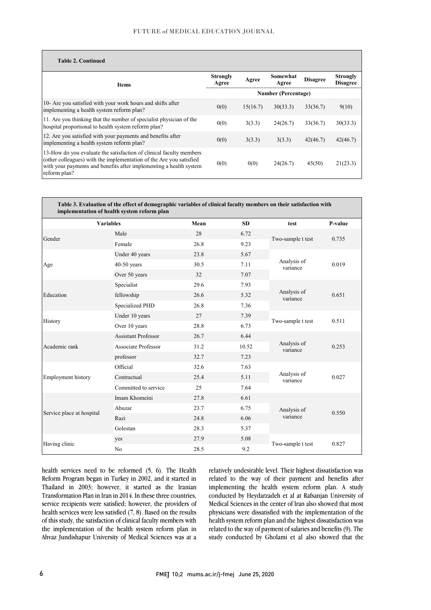## FUTURE of MEDICAL EDUCATION JOURNAL

| <b>Table 2. Continued</b>                                                                                                                                                                                                        |                            |          |                   |                 |                                    |
|----------------------------------------------------------------------------------------------------------------------------------------------------------------------------------------------------------------------------------|----------------------------|----------|-------------------|-----------------|------------------------------------|
| <b>Items</b>                                                                                                                                                                                                                     | <b>Strongly</b><br>Agree   | Agree    | Somewhat<br>Agree | <b>Disagree</b> | <b>Strongly</b><br><b>Disagree</b> |
|                                                                                                                                                                                                                                  | <b>Number (Percentage)</b> |          |                   |                 |                                    |
| 10- Are you satisfied with your work hours and shifts after<br>implementing a health system reform plan?                                                                                                                         | 0(0)                       | 15(16.7) | 30(33.3)          | 33(36.7)        | 9(10)                              |
| 11. Are you thinking that the number of specialist physician of the<br>hospital proportional to health system reform plan?                                                                                                       | 0(0)                       | 3(3.3)   | 24(26.7)          | 33(36.7)        | 30(33.3)                           |
| 12. Are you satisfied with your payments and benefits after<br>implementing a health system reform plan?                                                                                                                         | 0(0)                       | 3(3.3)   | 3(3.3)            | 42(46.7)        | 42(46.7)                           |
| 13-How do you evaluate the satisfaction of clinical faculty members<br>(other colleagues) with the implementation of the Are you satisfied<br>with your payments and benefits after implementing a health system<br>reform plan? | 0(0)                       | 0(0)     | 24(26.7)          | 45(50)          | 21(23.3)                           |

| Table 3. Evaluation of the effect of demographic variables of clinical faculty members on their satisfaction with<br>implementation of health system reform plan |                            |      |           |                         |         |
|------------------------------------------------------------------------------------------------------------------------------------------------------------------|----------------------------|------|-----------|-------------------------|---------|
| <b>Variables</b>                                                                                                                                                 |                            | Mean | <b>SD</b> | test                    | P-value |
| Gender                                                                                                                                                           | Male                       | 28   | 6.72      |                         | 0.735   |
|                                                                                                                                                                  | Female                     | 26.8 | 9.23      | Two-sample t test       |         |
|                                                                                                                                                                  | Under 40 years             | 23.8 | 5.67      |                         | 0.019   |
| Age                                                                                                                                                              | $40-50$ years              | 30.5 | 7.11      | Analysis of<br>variance |         |
|                                                                                                                                                                  | Over 50 years              | 32   | 7.07      |                         |         |
| Education                                                                                                                                                        | Specialist                 | 29.6 | 7.93      |                         | 0.651   |
|                                                                                                                                                                  | fellowship                 | 26.6 | 5.32      | Analysis of<br>variance |         |
|                                                                                                                                                                  | Specialized PHD            | 26.8 | 7.36      |                         |         |
| History                                                                                                                                                          | Under 10 years             | 27   | 7.39      |                         | 0.511   |
|                                                                                                                                                                  | Over 10 years              | 28.8 | 6.73      | Two-sample t test       |         |
| Academic rank                                                                                                                                                    | <b>Assistant Professor</b> | 26.7 | 6.44      |                         | 0.253   |
|                                                                                                                                                                  | Associate Professor        | 31.2 | 10.52     | Analysis of<br>variance |         |
|                                                                                                                                                                  | professor                  | 32.7 | 7.23      |                         |         |
| Employment history                                                                                                                                               | Official                   | 32.6 | 7.63      |                         | 0.027   |
|                                                                                                                                                                  | Contractual                | 25.4 | 5.11      | Analysis of<br>variance |         |
|                                                                                                                                                                  | Committed to service       | 25   | 7.64      |                         |         |
| Service place at hospital                                                                                                                                        | Imam Khomeini              | 27.8 | 6.61      |                         | 0.550   |
|                                                                                                                                                                  | Abuzar                     | 23.7 | 6.75      | Analysis of             |         |
|                                                                                                                                                                  | Razi                       | 24.8 | 6.06      | variance                |         |
|                                                                                                                                                                  | Golestan                   | 28.3 | 5.37      |                         |         |
| Having clinic                                                                                                                                                    | yes                        | 27.9 | 5.08      |                         |         |
|                                                                                                                                                                  | N <sub>o</sub>             | 28.5 | 9.2       | Two-sample t test       | 0.827   |

health services need to be reformed (5, 6). The Health Reform Program began in Turkey in 2002, and it started in Thailand in 2003; however, it started as the Iranian Transformation Plan in Iran in 2014. In these three countries, service recipients were satisfied; however, the providers of health services were less satisfied (7, 8). Based on the results of this study, the satisfaction of clinical faculty members with the implementation of the health system reform plan in Ahvaz Jundishapur University of Medical Sciences was at a

 related to the way of their payment and benefits after implementing the health system reform plan. A study conducted by Heydarzadeh et al at Rafsanjan University of relatively undesirable level. Their highest dissatisfaction was Medical Sciences in the center of Iran also showed that most physicians were dissatisfied with the implementation of the health system reform plan and the highest dissatisfaction was related to the way of payment of salaries and benefits (9). The study conducted by Gholami et al also showed that the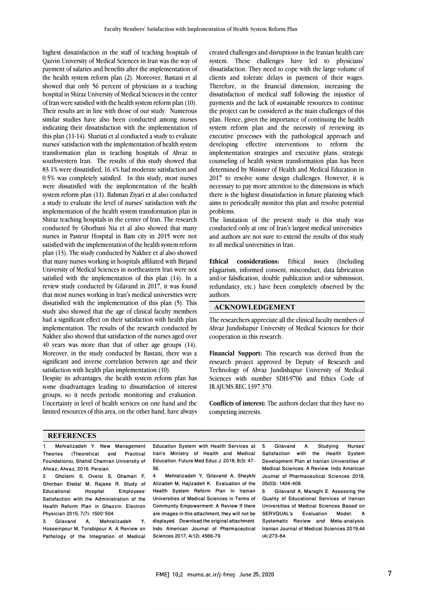highest dissatisfaction in the staff of teaching hospitals of Qazvin University of Medical Sciences in Iran was the way of payment of salaries and benefits after the implementation of the health system reform plan (2). Moreover, Bastani et al showed that only 56 percent of physicians in a teaching hospital in Shiraz University of Medical Sciences in the center of Iran were satisfied with the health system reform plan (10). Their results are in line with those of our study. Numerous similar studies have also been conducted among nurses indicating their dissatisfaction with the implementation of this plan (11-14). Shariati et al conducted a study to evaluate nurses' satisfaction with the implementation of health system transformation plan in teaching hospitals of Ahvaz in southwestern Iran. The results of this study showed that 83.1% were dissatisfied, 16.4% had moderate satisfaction and 0.5% was completely satisfied. In this study, most nurses were dissatisfied with the implementation of the health system reform plan (11). Bahman Ziyari et al also conducted a study to evaluate the level of nurses' satisfaction with the implementation of the health system transformation plan in Shiraz teaching hospitals in the center of Iran. The research conducted by Ghorbani Nia et al also showed that many nurses in Pasteur Hospital in Bam city in 2015 were not satisfied with the implementation of the health system reform plan (13). The study conducted by Nakhee et al also showed that many nurses working in hospitals affiliated with Birjand University of Medical Sciences in northeastern Iran were not satisfied with the implementation of this plan (14). In a review study conducted by Gilavand in 2017, it was found that most nurses working in Iran's medical universities were dissatisfied with the implementation of this plan (5). This study also showed that the age of clinical faculty members had a significant effect on their satisfaction with health plan implementation. The results of the research conducted by Nakhee also showed that satisfaction of the nurses aged over 40 years was more than that of other age groups (14). Moreover, in the study conducted by Bastani, there was a significant and inverse correlation between age and their satisfaction with health plan implementation (10).

Despite its advantages, the health system reform plan has some disadvantages leading to dissatisfaction of interest groups, so it needs periodic monitoring and evaluation. Uncertainty in level of health services on one hand and the limited resources of this area, on the other hand, have always created challenges and disruptions in the Iranian health care system. These challenges have led to physicians' dissatisfaction. They need to cope with the large volume of clients and tolerate delays in payment of their wages. Therefore, in the financial dimension, increasing the dissatisfaction of medical staff following the injustice of payments and the lack of sustainable resources to continue the project can be considered as the main challenges of this plan. Hence, given the importance of continuing the health system reform plan and the necessity of reviewing its executive processes with the pathological approach and developing effective interventions to reform the implementation strategies and executive plans, strategic counseling of health system transformation plan has been determined by Minister of Health and Medical Education in 2017 to resolve some design challenges. However, it is necessary to pay more attention to the dimensions in which there is the highest dissatisfaction in future planning which aims to periodically monitor this plan and resolve potential problems.

The limitation of the present study is this study was conducted only at one of Iran's largest medical universities and authors are not sure to extend the results of this study to all medical universities in Iran.

**Ethical considerations:** Ethical issues (Including plagiarism, informed consent, misconduct, data fabrication and/or falsification, double publication and/or submission, redundancy, etc.) have been completely observed by the authors.

### **ACKNOWLEDGEMENT**

The researchers appreciate all the clinical faculty members of Ahvaz Jundishapur University of Medical Sciences for their cooperation in this research.

**Financial Support:** This research was derived from the research project approved by Deputy of Research and Technology of Ahvaz Jundishapur University of Medical Sciences with number SDH-9706 and Ethics Code of IR.AJUMS.REC.1397.370.

**Conflicts of interest:** The authors declare that they have no competing interests.

#### **REFERENCES**

1. Mehralizadeh Y. New Management Theories (Theoretical and Practical Foundations), Shahid Chamran University of Ahvaz; Ahvaz, 2016. Persian.

2. Gholami S, Oveisi S, Ghamari F, Ghorban Etedal M, Rajaee R. Study of Educational Hospital Employees' Satisfaction with the Administration of the Health Reform Plan in Ghazvin. Electron Physician 2015; 7(7): 1500–504.

3. Gilavand A, Mehralizadeh Y, Hosseinpour M, Torabipour A. A Review on Pathology of the Integration of Medical

Education System with Health Services at Iran's Ministry of Health and Medical Education. Future Med Educ J. 2018; 8(3): 47- 56.

4. Mehralizadeh Y, Gilavand A, Sheykhi Alizadeh M, Hajizadeh K. Evaluation of the Health System Reform Plan In Iranian Universities of Medical Sciences in Terms of Community Empowerment: A Review If there are images in this attachment, they will not be displayed. Download the original attachment. Indo American Journal of Pharmaceutical Sciences 2017; 4(12): 4566-79.

5. Gilavand A. Studying Nurses' Satisfaction with the Health System Development Plan at Iranian Universities of Medical Sciences: A Review. Indo American Journal of Pharmaceutical Sciences 2018; 05(03): 1404-408.

6. Gilavand A, Maraghi E. Assessing the Quality of Educational Services of Iranian Universities of Medical Sciences Based on SERVQUAL's Evaluation Model: A Systematic Review and Meta-analysis. Iranian Journal of Medical Sciences 2019;44 (4):273-84.